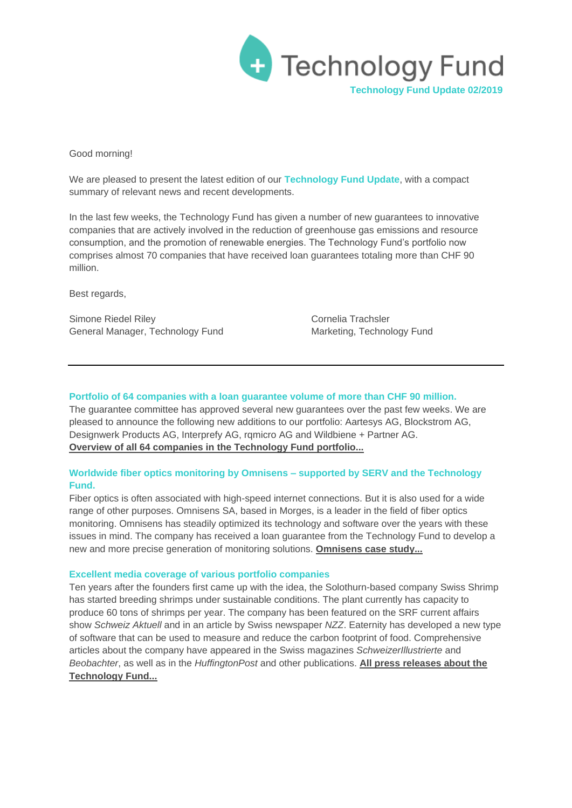

Good morning!

We are pleased to present the latest edition of our **Technology Fund Update**, with a compact summary of relevant news and recent developments.

In the last few weeks, the Technology Fund has given a number of new guarantees to innovative companies that are actively involved in the reduction of greenhouse gas emissions and resource consumption, and the promotion of renewable energies. The Technology Fund's portfolio now comprises almost 70 companies that have received loan guarantees totaling more than CHF 90 million.

Best regards,

Simone Riedel Riley Cornelia Trachsler General Manager, Technology Fund Marketing, Technology Fund

### **Portfolio of 64 companies with a loan guarantee volume of more than CHF 90 million.**

The guarantee committee has approved several new guarantees over the past few weeks. We are pleased to announce the following new additions to our portfolio: Aartesys AG, Blockstrom AG, Designwerk Products AG, Interprefy AG, rqmicro AG and Wildbiene + Partner AG. **[Overview of all 64 companies in the Technology Fund portfolio...](http://www.technologyfund.ch/portfolio/)**

# **Worldwide fiber optics monitoring by Omnisens – supported by SERV and the Technology Fund.**

Fiber optics is often associated with high-speed internet connections. But it is also used for a wide range of other purposes. Omnisens SA, based in Morges, is a leader in the field of fiber optics monitoring. Omnisens has steadily optimized its technology and software over the years with these issues in mind. The company has received a loan guarantee from the Technology Fund to develop a new and more precise generation of monitoring solutions. **[Omnisens case study...](http://www.technologyfund.ch/fileadmin/user_upload/presse/2019/2019.05.06_Omnisens_Fallbeispiel.pdf)**

#### **Excellent media coverage of various portfolio companies**

Ten years after the founders first came up with the idea, the Solothurn-based company Swiss Shrimp has started breeding shrimps under sustainable conditions. The plant currently has capacity to produce 60 tons of shrimps per year. The company has been featured on the SRF current affairs show *Schweiz Aktuell* and in an article by Swiss newspaper *NZZ*. Eaternity has developed a new type of software that can be used to measure and reduce the carbon footprint of food. Comprehensive articles about the company have appeared in the Swiss magazines *SchweizerIllustrierte* and *Beobachter*, as well as in the *HuffingtonPost* and other publications. **[All press releases about the](http://www.technologyfund.ch/press/)  [Technology Fund...](http://www.technologyfund.ch/press/)**